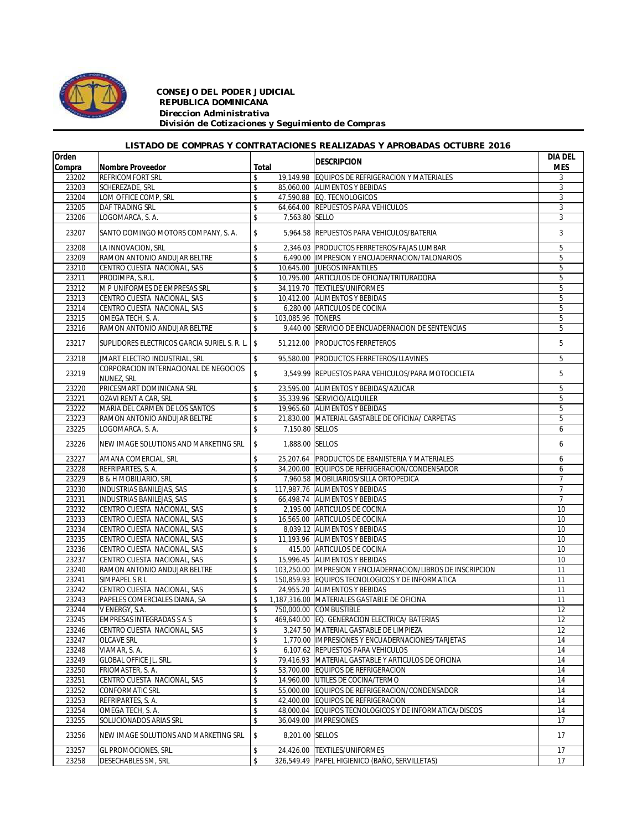

## *CONSEJO DEL PODER JUDICIAL REPUBLICA DOMINICANA Direccion Administrativa División de Cotizaciones y Seguimiento de Compras*

## *LISTADO DE COMPRAS Y CONTRATACIONES REALIZADAS Y APROBADAS OCTUBRE 2016*

| Orden  |                                                     |                         | <b>DESCRIPCION</b>                                          | <b>DIA DEL</b> |
|--------|-----------------------------------------------------|-------------------------|-------------------------------------------------------------|----------------|
| Compra | Nombre Proveedor                                    | Total                   |                                                             | <b>MES</b>     |
| 23202  | <b>REFRICOMFORT SRL</b>                             | \$                      | 19,149.98 EQUIPOS DE REFRIGERACION Y MATERIALES             | 3              |
| 23203  | SCHEREZADE, SRL                                     | \$                      | 85.060.00 ALIMENTOS Y BEBIDAS                               | 3              |
| 23204  | LOM OFFICE COMP, SRL                                | \$                      | 47,590.88 EQ. TECNOLOGICOS                                  | 3              |
| 23205  | DAF TRADING SRL                                     | \$                      | 64,664.00 REPUESTOS PARA VEHICULOS                          | 3              |
| 23206  | LOGOMARCA, S. A.                                    | \$<br>7,563.80 SELLO    |                                                             | 3              |
| 23207  | SANTO DOMINGO MOTORS COMPANY, S. A.                 | \$                      | 5,964.58 REPUESTOS PARA VEHICULOS/BATERIA                   | 3              |
| 23208  | LA INNOVACION, SRL                                  | \$                      | 2,346.03 PRODUCTOS FERRETEROS/FAJAS LUMBAR                  | 5              |
| 23209  | RAMON ANTONIO ANDUJAR BELTRE                        | \$                      | 6,490.00 IMPRESION Y ENCUADERNACION/TALONARIOS              | 5              |
| 23210  | CENTRO CUESTA NACIONAL, SAS                         | \$                      | 10,645.00 JUEGOS INFANTILES                                 | 5              |
| 23211  | PRODIMPA, S.R.L.                                    | \$                      | 10,795.00 ARTICULOS DE OFICINA/TRITURADORA                  | 5              |
| 23212  | M P UNIFORMES DE EMPRESAS SRL                       | \$                      | 34,119.70 TEXTILES/UNIFORMES                                | 5              |
| 23213  | CENTRO CUESTA NACIONAL, SAS                         | \$                      | 10,412.00 ALIMENTOS Y BEBIDAS                               | 5              |
| 23214  | CENTRO CUESTA NACIONAL, SAS                         | \$                      | 6,280.00 ARTICULOS DE COCINA                                | 5              |
| 23215  | OMEGA TECH, S. A.                                   | \$<br>103,085.96 TONERS |                                                             | 5              |
| 23216  | RAMON ANTONIO ANDUJAR BELTRE                        | \$                      | 9,440.00 SERVICIO DE ENCUADERNACION DE SENTENCIAS           | 5              |
| 23217  | SUPLIDORES ELECTRICOS GARCIA SURIEL S. R. L. S      | 51,212.00               | <b>PRODUCTOS FERRETEROS</b>                                 | 5              |
| 23218  | JMART ELECTRO INDUSTRIAL, SRL                       | \$<br>95,580.00         | <b>PRODUCTOS FERRETEROS/LLAVINES</b>                        | 5              |
| 23219  | CORPORACION INTERNACIONAL DE NEGOCIOS<br>NUNEZ, SRL | \$                      | 3,549.99 REPUESTOS PARA VEHICULOS/PARA MOTOCICLETA          | 5              |
| 23220  | PRICESMART DOMINICANA SRL                           | \$                      | 23,595.00 ALIMENTOS Y BEBIDAS/AZUCAR                        | 5              |
| 23221  | OZAVI RENT A CAR, SRL                               | \$                      | 35,339.96 SERVICIO/ALQUILER                                 | 5              |
| 23222  | MARIA DEL CARMEN DE LOS SANTOS                      | \$                      | 19.965.60 ALIMENTOS Y BEBIDAS                               | 5              |
| 23223  | RAMON ANTONIO ANDUJAR BELTRE                        | \$                      | 21,830.00 MATERIAL GASTABLE DE OFICINA/ CARPETAS            | 5              |
| 23225  | LOGOMARCA, S. A.                                    | \$                      | 7.150.80 SELLOS                                             | 6              |
| 23226  | NEW IMAGE SOLUTIONS AND MARKETING SRL               | \$                      | 1,888.00 SELLOS                                             | 6              |
| 23227  | AMANA COMERCIAL, SRL                                | \$                      | 25,207.64 PRODUCTOS DE EBANISTERIA Y MATERIALES             | 6              |
| 23228  | REFRIPARTES, S. A.                                  | \$                      | 34,200.00 EQUIPOS DE REFRIGERACION/CONDENSADOR              | 6              |
| 23229  | B & H MOBILIARIO, SRL                               | \$                      | 7,960.58 MOBILIARIOS/SILLA ORTOPEDICA                       | $\overline{7}$ |
| 23230  | INDUSTRIAS BANILEJAS, SAS                           | \$                      | 117,987.76 ALIMENTOS Y BEBIDAS                              | $\overline{7}$ |
| 23231  | <b>INDUSTRIAS BANILEJAS, SAS</b>                    | \$                      | 66,498.74 ALIMENTOS Y BEBIDAS                               | $\overline{7}$ |
| 23232  | CENTRO CUESTA NACIONAL, SAS                         | \$                      | 2,195.00 ARTICULOS DE COCINA                                | 10             |
| 23233  | CENTRO CUESTA NACIONAL, SAS                         | \$                      | 16,565.00 ARTICULOS DE COCINA                               | 10             |
| 23234  | CENTRO CUESTA NACIONAL, SAS                         | \$                      | 8,039.12 ALIMENTOS Y BEBIDAS                                | 10             |
| 23235  | CENTRO CUESTA NACIONAL, SAS                         | \$                      | 11,193.96 ALIMENTOS Y BEBIDAS                               | 10             |
| 23236  | CENTRO CUESTA NACIONAL, SAS                         | \$                      | 415.00 ARTICULOS DE COCINA                                  | 10             |
| 23237  | CENTRO CUESTA NACIONAL, SAS                         | \$                      | 15.996.45 ALIMENTOS Y BEBIDAS                               | 10             |
| 23240  | RAMON ANTONIO ANDUJAR BELTRE                        | \$                      | 103,250.00 IMPRESION Y ENCUADERNACION/LIBROS DE INSCRIPCION | 11             |
| 23241  | SIMPAPEL S R L                                      | \$                      | 150,859.93 EQUIPOS TECNOLOGICOS Y DE INFORMATICA            | 11             |
| 23242  | CENTRO CUESTA NACIONAL, SAS                         | \$                      | 24,955.20 ALIMENTOS Y BEBIDAS                               | 11             |
| 23243  | PAPELES COMERCIALES DIANA, SA                       | \$                      | 1,187,316.00 MATERIALES GASTABLE DE OFICINA                 | 11             |
| 23244  | V ENERGY, S.A.                                      | \$                      | 750.000.00 COMBUSTIBLE                                      | 12             |
| 23245  | <b>EMPRESAS INTEGRADAS S A S</b>                    | \$                      | 469,640.00 EQ. GENERACION ELECTRICA/ BATERIAS               | 12             |
| 23246  | CENTRO CUESTA NACIONAL, SAS                         | \$                      | 3,247.50 MATERIAL GASTABLE DE LIMPIEZA                      | 12             |
| 23247  | <b>OLCAVE SRL</b>                                   | \$                      | 1,770.00 IMPRESIONES Y ENCUADERNACIONES/TARJETAS            | 14             |
| 23248  | VIAMAR, S. A.                                       | \$                      | 6,107.62 REPUESTOS PARA VEHICULOS                           | 14             |
| 23249  | <b>GLOBAL OFFICE JL. SRL.</b>                       | \$                      | 79,416.93 MATERIAL GASTABLE Y ARTICULOS DE OFICINA          | 14             |
| 23250  | FRIOMASTER, S. A.                                   | \$                      | 53,700.00 EQUIPOS DE REFRIGERACION                          | 14             |
| 23251  | CENTRO CUESTA NACIONAL, SAS                         | \$                      | 14,960.00 UTILES DE COCINA/TERMO                            | 14             |
| 23252  | <b>CONFORMATIC SRL</b>                              | \$                      | 55,000.00 EQUIPOS DE REFRIGERACION/CONDENSADOR              | 14             |
| 23253  | REFRIPARTES, S. A.                                  | \$                      | 42,400.00 EQUIPOS DE REFRIGERACION                          | 14             |
| 23254  | OMEGA TECH. S. A.                                   | \$                      | 48,000.04 EQUIPOS TECNOLOGICOS Y DE INFORMATICA/DISCOS      | 14             |
| 23255  | SOLUCIONADOS ARIAS SRL                              | \$<br>36,049.00         | <b>IMPRESIONES</b>                                          | 17             |
| 23256  | NEW IMAGE SOLUTIONS AND MARKETING SRL               | \$<br>8,201.00 SELLOS   |                                                             | 17             |
| 23257  | GL PROMOCIONES, SRL.                                | \$                      | 24,426.00 TEXTILES/UNIFORMES                                | 17             |
| 23258  | <b>DESECHABLES SM, SRL</b>                          | \$                      | 326,549.49 PAPEL HIGIENICO (BAÑO, SERVILLETAS)              | 17             |
|        |                                                     |                         |                                                             |                |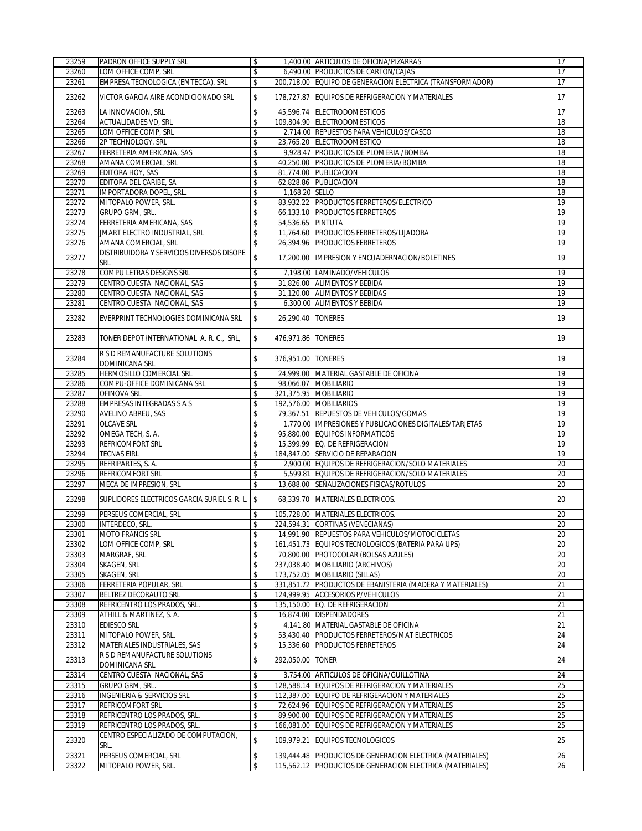| 23259          | <b>PADRON OFFICE SUPPLY SRL</b>                  | \$       |                    | 1.400.00 ARTICULOS DE OFICINA/PIZARRAS                                                                                 | 17       |
|----------------|--------------------------------------------------|----------|--------------------|------------------------------------------------------------------------------------------------------------------------|----------|
| 23260          | LOM OFFICE COMP, SRL                             | \$       |                    | 6,490.00 PRODUCTOS DE CARTON/CAJAS                                                                                     | 17       |
| 23261          | EMPRESA TECNOLOGICA (EMTECCA), SRL               | \$       |                    | 200,718.00 EQUIPO DE GENERACION ELECTRICA (TRANSFORMADOR)                                                              | 17       |
| 23262          | VICTOR GARCIA AIRE ACONDICIONADO SRL             | \$       |                    | 178,727.87 EQUIPOS DE REFRIGERACION Y MATERIALES                                                                       | 17       |
| 23263          | LA INNOVACION, SRL                               | \$       |                    | 45,596.74 ELECTRODOMESTICOS                                                                                            | 17       |
| 23264          | <b>ACTUALIDADES VD, SRL</b>                      | \$       |                    | 109,804.90 ELECTRODOMESTICOS                                                                                           | 18       |
| 23265          | LOM OFFICE COMP, SRL                             | \$       |                    | 2,714.00 REPUESTOS PARA VEHICULOS/CASCO                                                                                | 18       |
| 23266          | 2P TECHNOLOGY, SRL                               | \$       |                    | 23,765.20 ELECTRODOMESTICO                                                                                             | 18       |
| 23267          | FERRETERIA AMERICANA, SAS                        | \$       |                    | 9,928.47 PRODUCTOS DE PLOMERIA / BOMBA                                                                                 | 18       |
| 23268          | AMANA COMERCIAL, SRL                             | \$       |                    | 40,250.00 PRODUCTOS DE PLOMERIA/BOMBA                                                                                  | 18       |
| 23269          | EDITORA HOY, SAS                                 | \$       |                    | 81.774.00 PUBLICACION                                                                                                  | 18       |
| 23270          | EDITORA DEL CARIBE, SA                           | \$       |                    | 62,828.86 PUBLICACION                                                                                                  | 18       |
| 23271          | IMPORTADORA DOPEL, SRL.                          | \$       | 1,168.20 SELLO     |                                                                                                                        | 18       |
| 23272          | MITOPALO POWER, SRL.                             | \$       |                    | 83,932.22 PRODUCTOS FERRETEROS/ELECTRICO                                                                               | 19       |
| 23273          | <b>GRUPO GRM, SRL.</b>                           | \$       |                    | 66,133.10 PRODUCTOS FERRETEROS                                                                                         | 19       |
| 23274          | FERRETERIA AMERICANA, SAS                        | \$       | 54,536.65 PINTUTA  |                                                                                                                        | 19       |
| 23275          | JMART ELECTRO INDUSTRIAL, SRL                    | \$       |                    | 11,764.60 PRODUCTOS FERRETEROS/LIJADORA                                                                                | 19       |
| 23276          | AMANA COMERCIAL, SRL                             | \$       |                    | 26,394.96 PRODUCTOS FERRETEROS                                                                                         | 19       |
|                |                                                  |          |                    |                                                                                                                        |          |
| 23277          | DISTRIBUIDORA Y SERVICIOS DIVERSOS DISOPE<br>SRL | \$       |                    | 17,200.00 IMPRESION Y ENCUADERNACION/BOLETINES                                                                         | 19       |
| 23278          | COMPU LETRAS DESIGNS SRL                         | \$       |                    | 7,198.00 LAMINADO/VEHICULOS                                                                                            | 19       |
| 23279          | CENTRO CUESTA NACIONAL, SAS                      | \$       |                    | 31.826.00 ALIMENTOS Y BEBIDA                                                                                           | 19       |
| 23280          | CENTRO CUESTA NACIONAL, SAS                      | \$       |                    | 31,120.00 ALIMENTOS Y BEBIDAS                                                                                          | 19       |
| 23281          | CENTRO CUESTA NACIONAL, SAS                      | \$       |                    | 6,300.00 ALIMENTOS Y BEBIDA                                                                                            | 19       |
| 23282          | EVERPRINT TECHNOLOGIES DOMINICANA SRL            | \$       | 26.290.40 TONERES  |                                                                                                                        | 19       |
| 23283          | TONER DEPOT INTERNATIONAL A. R. C., SRL,         | \$       | 476,971.86 TONERES |                                                                                                                        | 19       |
| 23284          | R S D REMANUFACTURE SOLUTIONS<br>DOMINICANA SRL  | \$       | 376,951.00 TONERES |                                                                                                                        | 19       |
| 23285          | HERMOSILLO COMERCIAL SRL                         | \$       |                    | 24,999.00 MATERIAL GASTABLE DE OFICINA                                                                                 | 19       |
| 23286          | COMPU-OFFICE DOMINICANA SRL                      | \$       |                    | 98,066.07 MOBILIARIO                                                                                                   | 19       |
| 23287          | OFINOVA SRL                                      | \$       |                    | 321,375.95 MOBILIARIO                                                                                                  | 19       |
| 23288          | <b>EMPRESAS INTEGRADAS S A S</b>                 | \$       |                    | 192,576.00 MOBILIARIOS                                                                                                 | 19       |
| 23290          | AVELINO ABREU, SAS                               | \$       |                    | 79,367.51 REPUESTOS DE VEHICULOS/GOMAS                                                                                 | 19       |
| 23291          | <b>OLCAVE SRL</b>                                | \$       |                    | 1,770.00 IMPRESIONES Y PUBLICACIONES DIGITALES/TARJETAS                                                                | 19       |
| 23292          | OMEGA TECH, S. A.                                | \$       |                    | 95,880.00 EQUIPOS INFORMATICOS                                                                                         | 19       |
| 23293          | <b>REFRICOMFORT SRL</b>                          | \$       |                    | 15,399.99 EQ. DE REFRIGERACION                                                                                         | 19       |
|                |                                                  |          |                    |                                                                                                                        |          |
| 23294          | <b>TECNAS EIRL</b>                               | \$       |                    | 184,847.00 SERVICIO DE REPARACION                                                                                      | 19       |
| 23295          | REFRIPARTES, S. A.                               | \$       |                    | 2,900.00 EQUIPOS DE REFRIGERACION/SOLO MATERIALES                                                                      | 20       |
| 23296          | REFRICOMFORT SRL                                 | \$       |                    | 5,599.81 EQUIPOS DE REFRIGERACION/SOLO MATERIALES                                                                      | 20       |
| 23297          | MECA DE IMPRESION, SRL                           | \$       |                    | 13,688.00 SEÑALIZACIONES FISICAS/ROTULOS                                                                               | 20       |
| 23298          | SUPLIDORES ELECTRICOS GARCIA SURIEL S. R. L. S   |          |                    | 68,339.70 MATERIALES ELECTRICOS.                                                                                       | 20       |
| 23299          | PERSEUS COMERCIAL, SRL                           | \$       |                    | 105,728.00 MATERIALES ELECTRICOS.                                                                                      | 20       |
| 23300          | INTERDECO, SRL.                                  | \$       |                    | 224,594.31 CORTINAS (VENECIANAS)                                                                                       | 20       |
| 23301          | <b>MOTO FRANCIS SRL</b>                          | \$       |                    | 14,991.90 REPUESTOS PARA VEHICULOS/MOTOCICLETAS                                                                        | 20       |
| 23302          | LOM OFFICE COMP, SRL                             | \$       |                    | 161,451.73 EQUIPOS TECNOLOGICOS (BATERIA PARA UPS)                                                                     | 20       |
| 23303          | MARGRAF, SRL                                     | \$       |                    | 70,800.00 PROTOCOLAR (BOLSAS AZULES)                                                                                   | 20       |
| 23304          | SKAGEN, SRL                                      | \$       |                    | 237,038.40 MOBILIARIO (ARCHIVOS)                                                                                       | 20       |
| 23305          | SKAGEN, SRL                                      | \$       |                    | 173,752.05 MOBILIARIO (SILLAS)                                                                                         | 20       |
| 23306          | FERRETERIA POPULAR, SRL                          | \$       |                    | 331,851.72 PRODUCTOS DE EBANISTERIA (MADERA Y MATERIALES)                                                              | 21       |
| 23307          | BELTREZ DECORAUTO SRL                            | \$       |                    | 124,999.95 ACCESORIOS P/VEHICULOS                                                                                      | 21       |
| 23308          | REFRICENTRO LOS PRADOS, SRL.                     | \$       |                    | 135,150.00 EQ. DE REFRIGERACION                                                                                        | 21       |
| 23309          | ATHILL & MARTINEZ, S. A.                         | \$       |                    | 16,874.00 DISPENDADORES                                                                                                | 21       |
| 23310          | <b>EDIESCO SRL</b>                               | \$       |                    | 4,141.80 MATERIAL GASTABLE DE OFICINA                                                                                  | 21       |
| 23311          | MITOPALO POWER, SRL.                             | \$       |                    | 53,430.40 PRODUCTOS FERRETEROS/MAT ELECTRICOS                                                                          | 24       |
| 23312          | MATERIALES INDUSTRIALES, SAS                     | \$       |                    | 15,336.60 PRODUCTOS FERRETEROS                                                                                         | 24       |
|                | R S D REMANUFACTURE SOLUTIONS                    |          |                    |                                                                                                                        |          |
| 23313          | DOMINICANA SRL                                   | \$       | 292.050.00 TONER   |                                                                                                                        | 24       |
| 23314          | CENTRO CUESTA NACIONAL, SAS                      | \$       |                    | 3,754.00 ARTICULOS DE OFICINA/GUILLOTINA                                                                               | 24       |
| 23315          | GRUPO GRM, SRL.                                  | \$       |                    | 128,588.14 EQUIPOS DE REFRIGERACION Y MATERIALES                                                                       | 25       |
| 23316          | INGENIERIA & SERVICIOS SRL                       | \$       |                    | 112,387.00 EQUIPO DE REFRIGERACION Y MATERIALES                                                                        | 25       |
| 23317          | <b>REFRICOMFORT SRL</b>                          | \$       |                    | 72,624.96 EQUIPOS DE REFRIGERACION Y MATERIALES                                                                        | 25       |
| 23318          | REFRICENTRO LOS PRADOS, SRL.                     | \$       |                    | 89,900.00 EQUIPOS DE REFRIGERACION Y MATERIALES                                                                        | 25       |
| 23319          | REFRICENTRO LOS PRADOS, SRL.                     | \$       |                    | 166,081.00 EQUIPOS DE REFRIGERACION Y MATERIALES                                                                       | 25       |
| 23320          | CENTRO ESPECIALIZADO DE COMPUTACION,<br>SRL.     | \$       |                    | 109,979.21 EQUIPOS TECNOLOGICOS                                                                                        | 25       |
|                |                                                  |          |                    |                                                                                                                        |          |
| 23321<br>23322 | PERSEUS COMERCIAL, SRL<br>MITOPALO POWER, SRL.   | \$<br>\$ |                    | 139,444.48 PRODUCTOS DE GENERACION ELECTRICA (MATERIALES)<br>115,562.12 PRODUCTOS DE GENERACION ELECTRICA (MATERIALES) | 26<br>26 |